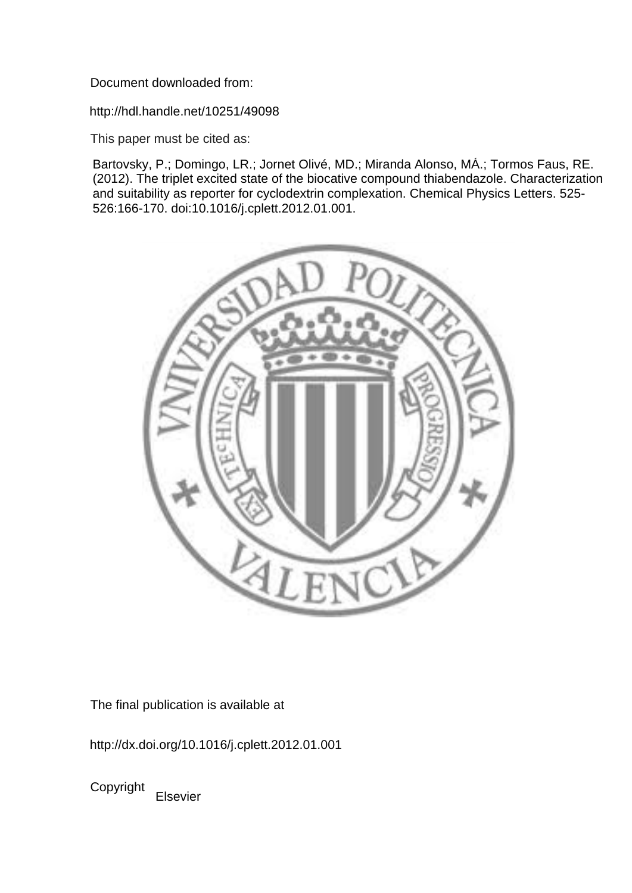Document downloaded from:

http://hdl.handle.net/10251/49098

This paper must be cited as:

Bartovsky, P.; Domingo, LR.; Jornet Olivé, MD.; Miranda Alonso, MÁ.; Tormos Faus, RE. (2012). The triplet excited state of the biocative compound thiabendazole. Characterization and suitability as reporter for cyclodextrin complexation. Chemical Physics Letters. 525- 526:166-170. doi:10.1016/j.cplett.2012.01.001.



The final publication is available at

http://dx.doi.org/10.1016/j.cplett.2012.01.001

Copyright Elsevier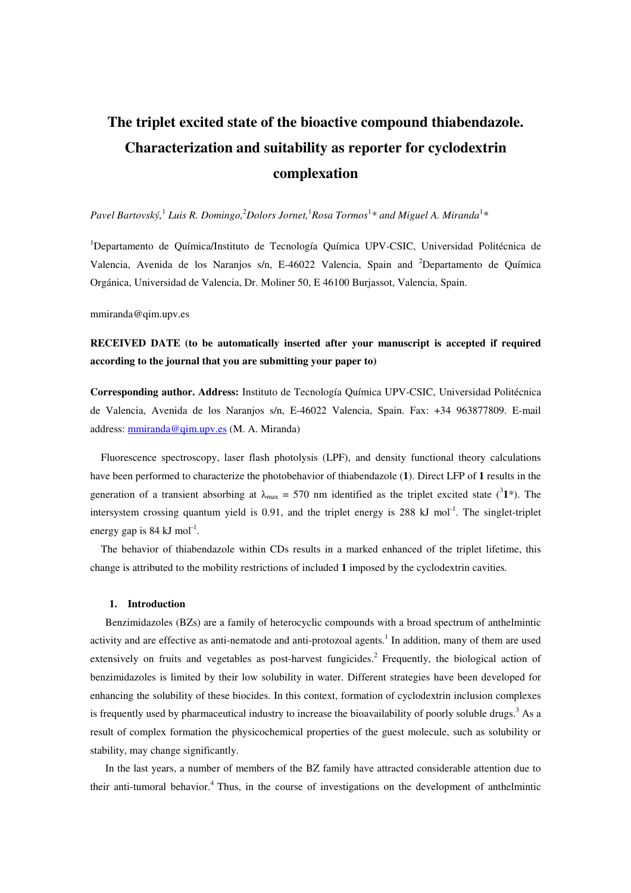# **The triplet excited state of the bioactive compound thiabendazole. Characterization and suitability as reporter for cyclodextrin complexation**

# Pavel Bartovský,<sup>1</sup> Luis R. Domingo,<sup>2</sup>Dolors Jornet,<sup>1</sup>Rosa Tormos<sup>1</sup>\* and Miguel A. Miranda<sup>1</sup>\*

<sup>1</sup>Departamento de Química/Instituto de Tecnología Química UPV-CSIC, Universidad Politécnica de Valencia, Avenida de los Naranjos s/n, E-46022 Valencia, Spain and <sup>2</sup>Departamento de Química Orgánica, Universidad de Valencia, Dr. Moliner 50, E 46100 Burjassot, Valencia, Spain.

mmiranda@qim.upv.es

# **RECEIVED DATE (to be automatically inserted after your manuscript is accepted if required according to the journal that you are submitting your paper to)**

**Corresponding author. Address:** Instituto de Tecnología Química UPV-CSIC, Universidad Politécnica de Valencia, Avenida de los Naranjos s/n, E-46022 Valencia, Spain. Fax: +34 963877809. E-mail address: mmiranda@qim.upv.es (M. A. Miranda)

Fluorescence spectroscopy, laser flash photolysis (LPF), and density functional theory calculations have been performed to characterize the photobehavior of thiabendazole (**1**). Direct LFP of **1** results in the generation of a transient absorbing at  $\lambda_{\text{max}} = 570$  nm identified as the triplet excited state (<sup>3</sup>1\*). The intersystem crossing quantum yield is  $0.91$ , and the triplet energy is  $288 \text{ kJ mol}^{-1}$ . The singlet-triplet energy gap is  $84 \text{ kJ} \text{ mol}^{-1}$ .

The behavior of thiabendazole within CDs results in a marked enhanced of the triplet lifetime, this change is attributed to the mobility restrictions of included **1** imposed by the cyclodextrin cavities*.* 

#### **1. Introduction**

Benzimidazoles (BZs) are a family of heterocyclic compounds with a broad spectrum of anthelmintic activity and are effective as anti-nematode and anti-protozoal agents.<sup>1</sup> In addition, many of them are used extensively on fruits and vegetables as post-harvest fungicides.<sup>2</sup> Frequently, the biological action of benzimidazoles is limited by their low solubility in water. Different strategies have been developed for enhancing the solubility of these biocides. In this context, formation of cyclodextrin inclusion complexes is frequently used by pharmaceutical industry to increase the bioavailability of poorly soluble drugs.<sup>3</sup> As a result of complex formation the physicochemical properties of the guest molecule, such as solubility or stability, may change significantly.

In the last years, a number of members of the BZ family have attracted considerable attention due to their anti-tumoral behavior.<sup>4</sup> Thus, in the course of investigations on the development of anthelmintic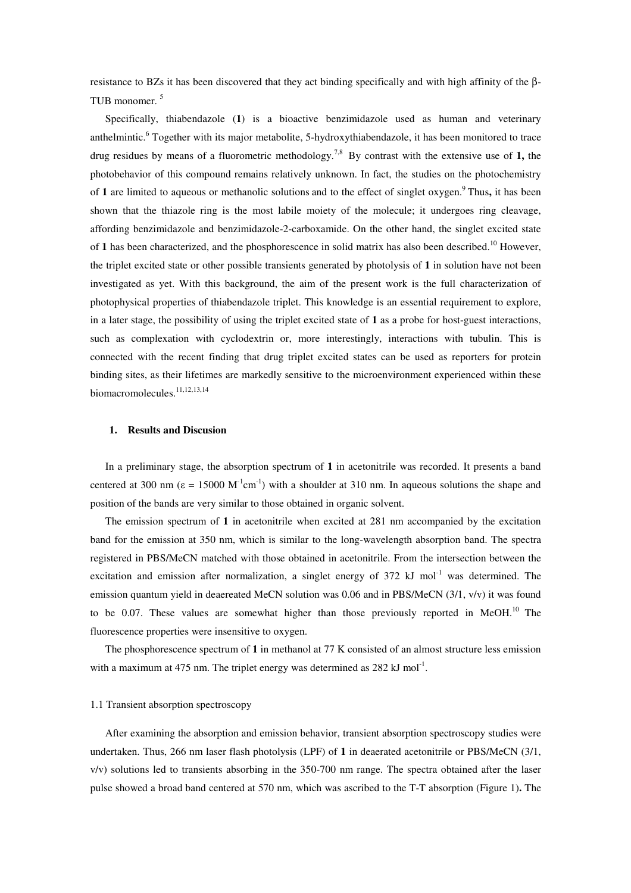resistance to BZs it has been discovered that they act binding specifically and with high affinity of the β-TUB monomer. <sup>5</sup>

Specifically, thiabendazole (**1**) is a bioactive benzimidazole used as human and veterinary anthelmintic.<sup>6</sup> Together with its major metabolite, 5-hydroxythiabendazole, it has been monitored to trace drug residues by means of a fluorometric methodology. 7,8 By contrast with the extensive use of **1,** the photobehavior of this compound remains relatively unknown. In fact, the studies on the photochemistry of **1** are limited to aqueous or methanolic solutions and to the effect of singlet oxygen.<sup>9</sup>Thus**,** it has been shown that the thiazole ring is the most labile moiety of the molecule; it undergoes ring cleavage, affording benzimidazole and benzimidazole-2-carboxamide. On the other hand, the singlet excited state of 1 has been characterized, and the phosphorescence in solid matrix has also been described.<sup>10</sup> However, the triplet excited state or other possible transients generated by photolysis of **1** in solution have not been investigated as yet. With this background, the aim of the present work is the full characterization of photophysical properties of thiabendazole triplet. This knowledge is an essential requirement to explore, in a later stage, the possibility of using the triplet excited state of **1** as a probe for host-guest interactions, such as complexation with cyclodextrin or, more interestingly, interactions with tubulin. This is connected with the recent finding that drug triplet excited states can be used as reporters for protein binding sites, as their lifetimes are markedly sensitive to the microenvironment experienced within these biomacromolecules.<sup>11,12,13,14</sup>

#### **1. Results and Discusion**

In a preliminary stage, the absorption spectrum of **1** in acetonitrile was recorded. It presents a band centered at 300 nm ( $\varepsilon = 15000 \text{ M}^{-1} \text{cm}^{-1}$ ) with a shoulder at 310 nm. In aqueous solutions the shape and position of the bands are very similar to those obtained in organic solvent.

The emission spectrum of **1** in acetonitrile when excited at 281 nm accompanied by the excitation band for the emission at 350 nm, which is similar to the long-wavelength absorption band. The spectra registered in PBS/MeCN matched with those obtained in acetonitrile. From the intersection between the excitation and emission after normalization, a singlet energy of  $372 \text{ kJ}$  mol<sup>-1</sup> was determined. The emission quantum yield in deaereated MeCN solution was 0.06 and in PBS/MeCN (3/1, v/v) it was found to be 0.07. These values are somewhat higher than those previously reported in MeOH.<sup>10</sup> The fluorescence properties were insensitive to oxygen.

The phosphorescence spectrum of **1** in methanol at 77 K consisted of an almost structure less emission with a maximum at 475 nm. The triplet energy was determined as  $282 \text{ kJ mol}^{-1}$ .

#### 1.1 Transient absorption spectroscopy

After examining the absorption and emission behavior, transient absorption spectroscopy studies were undertaken. Thus, 266 nm laser flash photolysis (LPF) of **1** in deaerated acetonitrile or PBS/MeCN (3/1, v/v) solutions led to transients absorbing in the 350-700 nm range. The spectra obtained after the laser pulse showed a broad band centered at 570 nm, which was ascribed to the T-T absorption (Figure 1)**.** The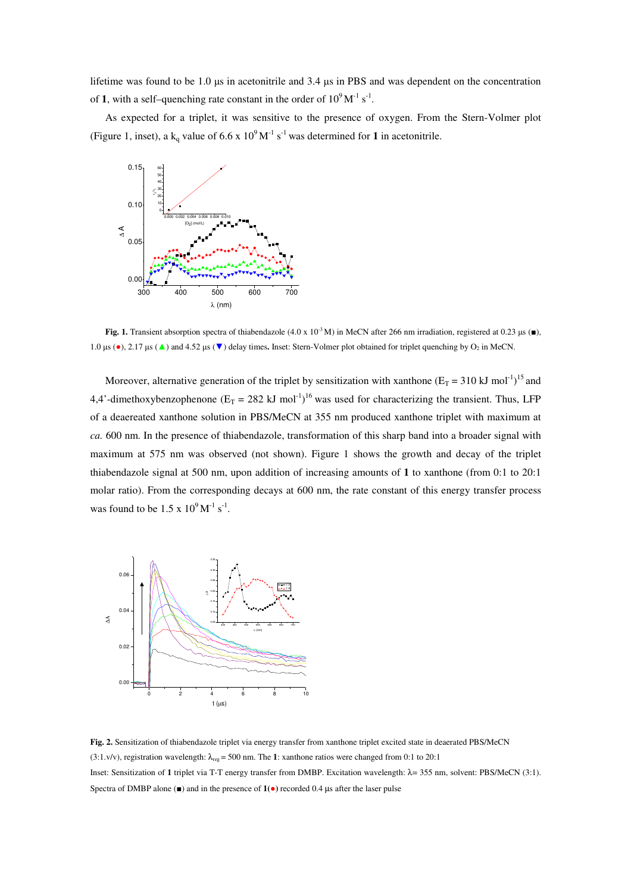lifetime was found to be 1.0 µs in acetonitrile and 3.4 µs in PBS and was dependent on the concentration of **1**, with a self-quenching rate constant in the order of  $10^9 \text{M}^{-1} \text{ s}^{-1}$ .

As expected for a triplet, it was sensitive to the presence of oxygen. From the Stern-Volmer plot (Figure 1, inset), a  $k_q$  value of 6.6 x 10<sup>9</sup> M<sup>-1</sup> s<sup>-1</sup> was determined for 1 in acetonitrile.



**Fig. 1.** Transient absorption spectra of thiabendazole  $(4.0 \times 10^{-3} \text{ M})$  in MeCN after 266 nm irradiation, registered at 0.23 µs (■), 1.0  $\mu$ s (•), 2.17  $\mu$ s (▲) and 4.52  $\mu$ s (▼) delay times. Inset: Stern-Volmer plot obtained for triplet quenching by O<sub>2</sub> in MeCN.

Moreover, alternative generation of the triplet by sensitization with xanthone  $(E_T = 310 \text{ kJ mol}^{-1})^{15}$  and 4,4'-dimethoxybenzophenone ( $E_T = 282 \text{ kJ mol}^{-1}$ )<sup>16</sup> was used for characterizing the transient. Thus, LFP of a deaereated xanthone solution in PBS/MeCN at 355 nm produced xanthone triplet with maximum at *ca.* 600 nm. In the presence of thiabendazole, transformation of this sharp band into a broader signal with maximum at 575 nm was observed (not shown). Figure 1 shows the growth and decay of the triplet thiabendazole signal at 500 nm, upon addition of increasing amounts of **1** to xanthone (from 0:1 to 20:1 molar ratio). From the corresponding decays at 600 nm, the rate constant of this energy transfer process was found to be  $1.5 \times 10^9 \,\mathrm{M}^{-1} \,\mathrm{s}^{-1}$ .



**Fig. 2.** Sensitization of thiabendazole triplet via energy transfer from xanthone triplet excited state in deaerated PBS/MeCN (3:1.v/v), registration wavelength:  $\lambda_{reg}$  = 500 nm. The **1**: xanthone ratios were changed from 0:1 to 20:1 Inset: Sensitization of **1** triplet via T-T energy transfer from DMBP. Excitation wavelength: λ= 355 nm, solvent: PBS/MeCN (3:1). Spectra of DMBP alone (■) and in the presence of **1(**●**)** recorded 0.4 µs after the laser pulse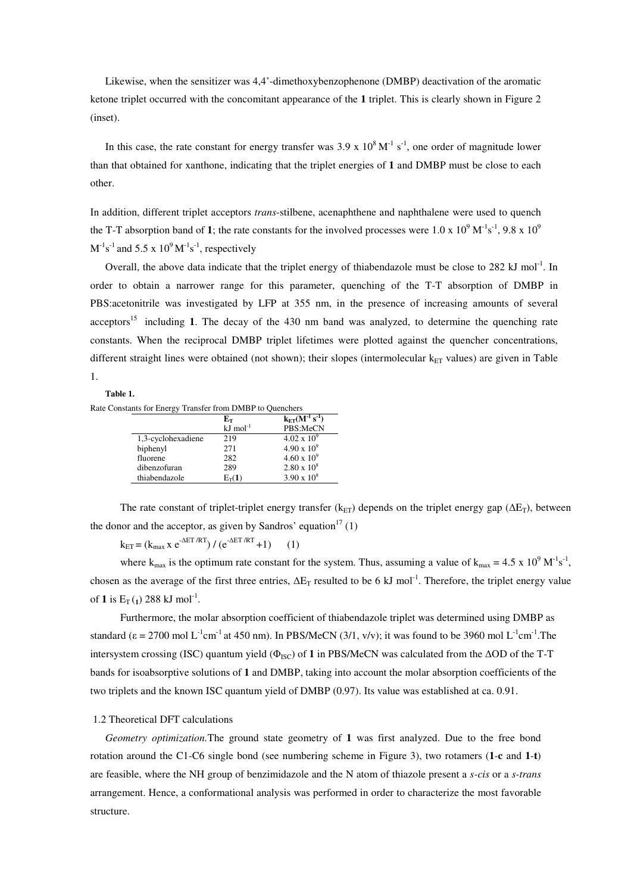Likewise, when the sensitizer was 4,4'-dimethoxybenzophenone (DMBP) deactivation of the aromatic ketone triplet occurred with the concomitant appearance of the **1** triplet. This is clearly shown in Figure 2 (inset).

In this case, the rate constant for energy transfer was  $3.9 \times 10^8 \,\mathrm{M}^{-1} \,\mathrm{s}^{-1}$ , one order of magnitude lower than that obtained for xanthone, indicating that the triplet energies of **1** and DMBP must be close to each other.

In addition, different triplet acceptors *trans*-stilbene, acenaphthene and naphthalene were used to quench the T-T absorption band of 1; the rate constants for the involved processes were  $1.0 \times 10^9$  M<sup>-1</sup>s<sup>-1</sup>, 9.8 x  $10^9$  $M^{-1}s^{-1}$  and 5.5 x 10<sup>9</sup>  $M^{-1}s^{-1}$ , respectively

Overall, the above data indicate that the triplet energy of thiabendazole must be close to  $282 \text{ kJ mol}^{-1}$ . In order to obtain a narrower range for this parameter, quenching of the T-T absorption of DMBP in PBS:acetonitrile was investigated by LFP at 355 nm, in the presence of increasing amounts of several acceptors<sup>15</sup> including **1**. The decay of the 430 nm band was analyzed, to determine the quenching rate constants. When the reciprocal DMBP triplet lifetimes were plotted against the quencher concentrations, different straight lines were obtained (not shown); their slopes (intermolecular  $k_{ET}$  values) are given in Table 1.

## **Table 1.**

Rate Constants for Energy Transfer from DMBP to Quenchers

|                    | Eт                    | $k_{ET}(M^{-1} s^{-1})$ |
|--------------------|-----------------------|-------------------------|
|                    | $kJ \text{ mol}^{-1}$ | PBS:MeCN                |
| 1,3-cyclohexadiene | 219                   | $4.02 \times 10^{9}$    |
| biphenyl           | 271                   | $4.90 \times 10^{9}$    |
| fluorene           | 282                   | $4.60 \times 10^{9}$    |
| dibenzofuran       | 289                   | $2.80 \times 10^8$      |
| thiabendazole      | $E_T(1)$              | $3.90 \times 10^8$      |

The rate constant of triplet-triplet energy transfer ( $k_{ET}$ ) depends on the triplet energy gap ( $\Delta E_T$ ), between the donor and the acceptor, as given by Sandros' equation<sup>17</sup> (1)

 $k_{\text{FT}} = (k_{\text{max}} \times e^{-\Delta ET/RT}) / (e^{-\Delta ET/RT} + 1)$  (1)

where  $k_{max}$  is the optimum rate constant for the system. Thus, assuming a value of  $k_{max} = 4.5 \times 10^9 \text{ M}^{-1} \text{s}^{-1}$ , chosen as the average of the first three entries,  $\Delta E_T$  resulted to be 6 kJ mol<sup>-1</sup>. Therefore, the triplet energy value of **1** is  $E_T(j)$  288 kJ mol<sup>-1</sup>.

Furthermore, the molar absorption coefficient of thiabendazole triplet was determined using DMBP as standard ( $\epsilon = 2700$  mol L<sup>-1</sup>cm<sup>-1</sup> at 450 nm). In PBS/MeCN (3/1, v/v); it was found to be 3960 mol L<sup>-1</sup>cm<sup>-1</sup>. The intersystem crossing (ISC) quantum yield (ΦISC) of **1** in PBS/MeCN was calculated from the ∆OD of the T-T bands for isoabsorptive solutions of **1** and DMBP, taking into account the molar absorption coefficients of the two triplets and the known ISC quantum yield of DMBP (0.97). Its value was established at ca. 0.91.

#### 1.2 Theoretical DFT calculations

*Geometry optimization.*The ground state geometry of **1** was first analyzed. Due to the free bond rotation around the C1-C6 single bond (see numbering scheme in Figure 3), two rotamers (**1**-**c** and **1**-**t**) are feasible, where the NH group of benzimidazole and the N atom of thiazole present a *s-cis* or a *s-trans* arrangement. Hence, a conformational analysis was performed in order to characterize the most favorable structure.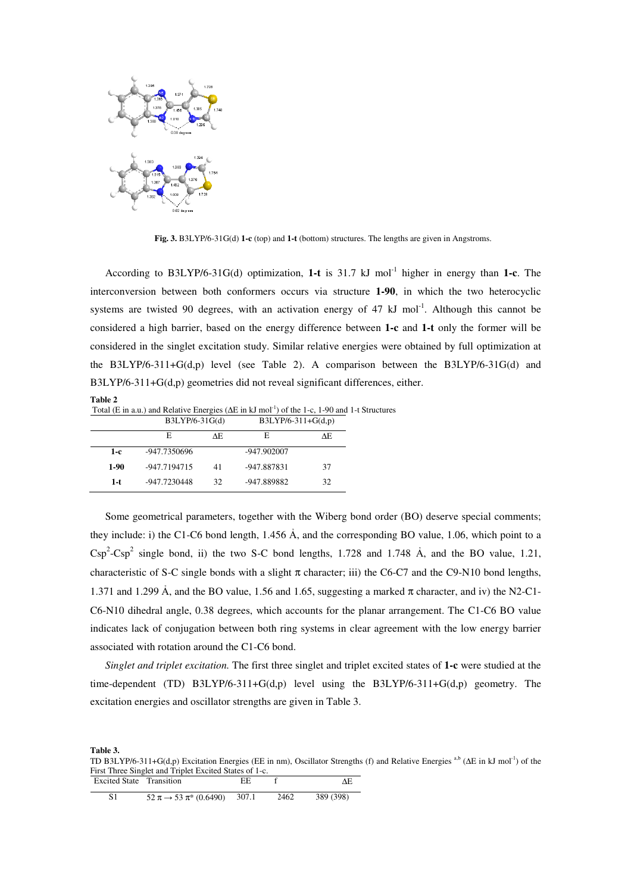

**Fig. 3.** B3LYP/6-31G(d) **1-c** (top) and **1-t** (bottom) structures. The lengths are given in Angstroms.

According to B3LYP/6-31G(d) optimization, 1-t is 31.7 kJ mol<sup>-1</sup> higher in energy than 1-c. The interconversion between both conformers occurs via structure **1-90**, in which the two heterocyclic systems are twisted 90 degrees, with an activation energy of 47 kJ mol<sup>-1</sup>. Although this cannot be considered a high barrier, based on the energy difference between **1-c** and **1-t** only the former will be considered in the singlet excitation study. Similar relative energies were obtained by full optimization at the B3LYP/6-311+G(d,p) level (see Table 2). A comparison between the B3LYP/6-31G(d) and B3LYP/6-311+G(d,p) geometries did not reveal significant differences, either.

| <b>Table 2</b>                                                                                                     |                      |
|--------------------------------------------------------------------------------------------------------------------|----------------------|
| Total (E in a.u.) and Relative Energies ( $\Delta E$ in kJ mol <sup>-1</sup> ) of the 1-c, 1-90 and 1-t Structures |                      |
| $B3LYP/6-31G(d)$                                                                                                   | $B3LYP/6-311+G(d,p)$ |

|        | DJLI1/0.51U(0) |     | $DJLI I/O-JI ITU(U,V)$ |    |
|--------|----------------|-----|------------------------|----|
|        | E              | ΛF. | Е                      | ΛE |
| $1-c$  | -947.7350696   |     | -947.902007            |    |
| $1-90$ | -947.7194715   | 41  | -947.887831            | 37 |
| 1-t    | -947.7230448   | 32  | -947.889882            | 32 |

Some geometrical parameters, together with the Wiberg bond order (BO) deserve special comments; they include: i) the C1-C6 bond length,  $1.456 \text{ Å}$ , and the corresponding BO value, 1.06, which point to a  $Csp^2$ -Csp<sup>2</sup> single bond, ii) the two S-C bond lengths, 1.728 and 1.748 Å, and the BO value, 1.21, characteristic of S-C single bonds with a slight  $\pi$  character; iii) the C6-C7 and the C9-N10 bond lengths, 1.371 and 1.299 Å, and the BO value, 1.56 and 1.65, suggesting a marked  $\pi$  character, and iv) the N2-C1-C6-N10 dihedral angle, 0.38 degrees, which accounts for the planar arrangement. The C1-C6 BO value indicates lack of conjugation between both ring systems in clear agreement with the low energy barrier associated with rotation around the C1-C6 bond.

*Singlet and triplet excitation.* The first three singlet and triplet excited states of **1-c** were studied at the time-dependent (TD) B3LYP/6-311+G(d,p) level using the B3LYP/6-311+G(d,p) geometry. The excitation energies and oscillator strengths are given in Table 3.

**Table 3.** 

TD B3LYP/6-311+G(d,p) Excitation Energies (EE in nm), Oscillator Strengths (f) and Relative Energies <sup>a,b</sup> (∆E in kJ mol<sup>-1</sup>) of the First Three Singlet and Triplet Excited States of 1-c.

| Excited State Transition |                                        |       |      |           |
|--------------------------|----------------------------------------|-------|------|-----------|
|                          | $52 \pi \rightarrow 53 \pi$ * (0.6490) | 307.1 | 2462 | 389 (398) |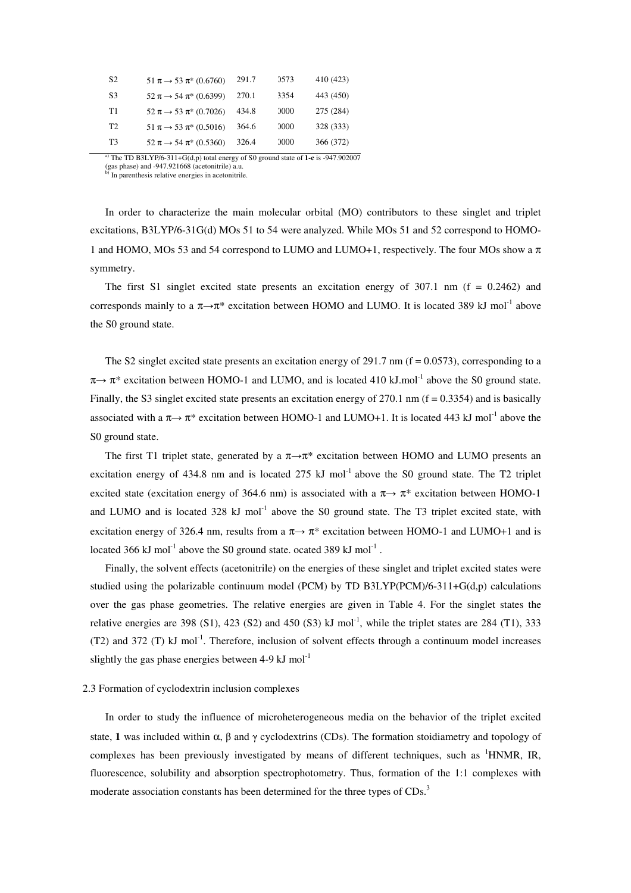| S <sub>2</sub> | $51 \pi \rightarrow 53 \pi$ (0.6760)   | 291.7 | 0573 | 410 (423) |
|----------------|----------------------------------------|-------|------|-----------|
| S3             | $52 \pi \rightarrow 54 \pi$ (0.6399)   | 270.1 | 3354 | 443 (450) |
| T1             | $52 \pi \rightarrow 53 \pi$ (0.7026)   | 434.8 | 0000 | 275 (284) |
| T <sub>2</sub> | $51 \pi \rightarrow 53 \pi$ (0.5016)   | 364.6 | 0000 | 328 (333) |
| T <sub>3</sub> | $52 \pi \rightarrow 54 \pi^* (0.5360)$ | 326.4 | 0000 | 366 (372) |

a) The TD B3LYP/6-311+G(d,p) total energy of S0 ground state of **1-c** is -947.902007

(gas phase) and -947.921668 (acetonitrile) a.u. b) In parenthesis relative energies in acetonitrile.

In order to characterize the main molecular orbital (MO) contributors to these singlet and triplet excitations, B3LYP/6-31G(d) MOs 51 to 54 were analyzed. While MOs 51 and 52 correspond to HOMO-1 and HOMO, MOs 53 and 54 correspond to LUMO and LUMO+1, respectively. The four MOs show a  $\pi$ symmetry.

The first S1 singlet excited state presents an excitation energy of  $307.1$  nm (f = 0.2462) and corresponds mainly to a  $\pi \rightarrow \pi^*$  excitation between HOMO and LUMO. It is located 389 kJ mol<sup>-1</sup> above the S0 ground state.

The S2 singlet excited state presents an excitation energy of 291.7 nm ( $f = 0.0573$ ), corresponding to a  $\pi \rightarrow \pi^*$  excitation between HOMO-1 and LUMO, and is located 410 kJ.mol<sup>-1</sup> above the S0 ground state. Finally, the S3 singlet excited state presents an excitation energy of 270.1 nm ( $f = 0.3354$ ) and is basically associated with a  $\pi \rightarrow \pi^*$  excitation between HOMO-1 and LUMO+1. It is located 443 kJ mol<sup>-1</sup> above the S0 ground state.

The first T1 triplet state, generated by a  $\pi \rightarrow \pi^*$  excitation between HOMO and LUMO presents an excitation energy of 434.8 nm and is located 275 kJ mol<sup>-1</sup> above the S0 ground state. The T2 triplet excited state (excitation energy of 364.6 nm) is associated with a  $\pi \rightarrow \pi^*$  excitation between HOMO-1 and LUMO and is located 328 kJ mol<sup>-1</sup> above the S0 ground state. The T3 triplet excited state, with excitation energy of 326.4 nm, results from a  $\pi \rightarrow \pi^*$  excitation between HOMO-1 and LUMO+1 and is located 366 kJ mol<sup>-1</sup> above the S0 ground state. ocated 389 kJ mol<sup>-1</sup>.

Finally, the solvent effects (acetonitrile) on the energies of these singlet and triplet excited states were studied using the polarizable continuum model (PCM) by TD B3LYP(PCM)/6-311+G(d,p) calculations over the gas phase geometries. The relative energies are given in Table 4. For the singlet states the relative energies are 398 (S1), 423 (S2) and 450 (S3) kJ mol<sup>-1</sup>, while the triplet states are 284 (T1), 333 (T2) and 372 (T) kJ mol<sup>-1</sup>. Therefore, inclusion of solvent effects through a continuum model increases slightly the gas phase energies between  $4-9 \text{ kJ mol}^{-1}$ 

#### 2.3 Formation of cyclodextrin inclusion complexes

In order to study the influence of microheterogeneous media on the behavior of the triplet excited state, 1 was included within  $\alpha$ ,  $\beta$  and  $\gamma$  cyclodextrins (CDs). The formation stoidiametry and topology of complexes has been previously investigated by means of different techniques, such as <sup>1</sup>HNMR, IR, fluorescence, solubility and absorption spectrophotometry. Thus, formation of the 1:1 complexes with moderate association constants has been determined for the three types of CDs.<sup>3</sup>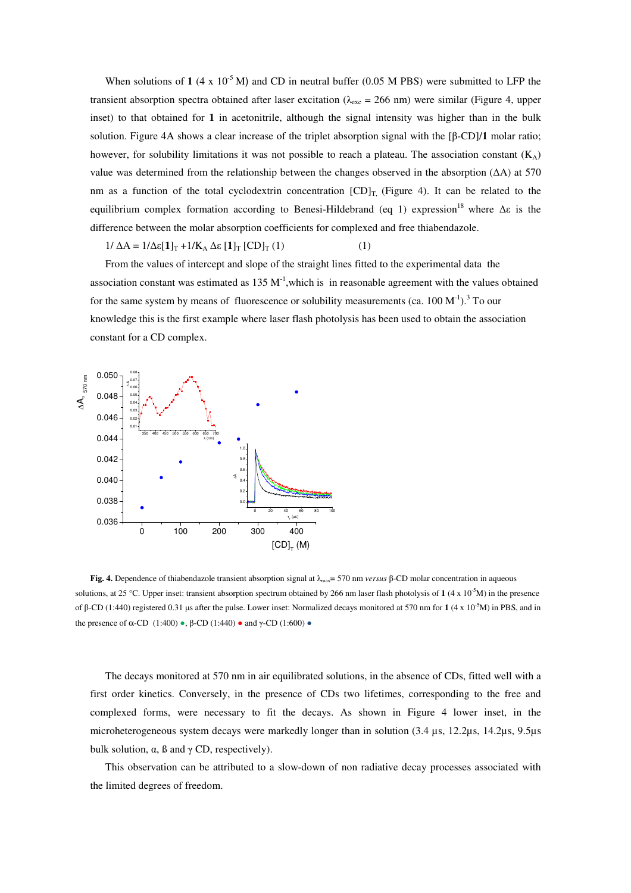When solutions of  $1$  (4 x 10<sup>-5</sup> M) and CD in neutral buffer (0.05 M PBS) were submitted to LFP the transient absorption spectra obtained after laser excitation ( $\lambda_{\text{exc}} = 266$  nm) were similar (Figure 4, upper inset) to that obtained for **1** in acetonitrile, although the signal intensity was higher than in the bulk solution. Figure 4A shows a clear increase of the triplet absorption signal with the [β-CD]/**1** molar ratio; however, for solubility limitations it was not possible to reach a plateau. The association constant  $(K_A)$ value was determined from the relationship between the changes observed in the absorption (∆A) at 570 nm as a function of the total cyclodextrin concentration  $[CD]_T$ , (Figure 4). It can be related to the equilibrium complex formation according to Benesi-Hildebrand (eq 1) expression<sup>18</sup> where  $\Delta \varepsilon$  is the difference between the molar absorption coefficients for complexed and free thiabendazole.

$$
1/\Delta A = 1/\Delta \varepsilon [\mathbf{1}]_T + 1/K_A \Delta \varepsilon [\mathbf{1}]_T [CD]_T (1)
$$
 (1)

From the values of intercept and slope of the straight lines fitted to the experimental data the association constant was estimated as  $135 \text{ M}^{-1}$ , which is in reasonable agreement with the values obtained for the same system by means of fluorescence or solubility measurements (ca.  $100 \, \text{M}^{-1}$ ).<sup>3</sup> To our knowledge this is the first example where laser flash photolysis has been used to obtain the association constant for a CD complex.



**Fig. 4.** Dependence of thiabendazole transient absorption signal at λmax= 570 nm *versus* β-CD molar concentration in aqueous solutions, at 25 °C. Upper inset: transient absorption spectrum obtained by 266 nm laser flash photolysis of 1 (4 x 10<sup>-5</sup>M) in the presence of β-CD (1:440) registered 0.31 µs after the pulse. Lower inset: Normalized decays monitored at 570 nm for **1** (4 x 10-5M) in PBS, and in the presence of α-CD (1:400) •, β-CD (1:440) • and γ-CD (1:600) •

The decays monitored at 570 nm in air equilibrated solutions, in the absence of CDs, fitted well with a first order kinetics. Conversely, in the presence of CDs two lifetimes, corresponding to the free and complexed forms, were necessary to fit the decays. As shown in Figure 4 lower inset, in the microheterogeneous system decays were markedly longer than in solution (3.4 µs, 12.2µs, 14.2µs, 9.5µs bulk solution,  $\alpha$ ,  $\beta$  and  $\gamma$  CD, respectively).

This observation can be attributed to a slow-down of non radiative decay processes associated with the limited degrees of freedom.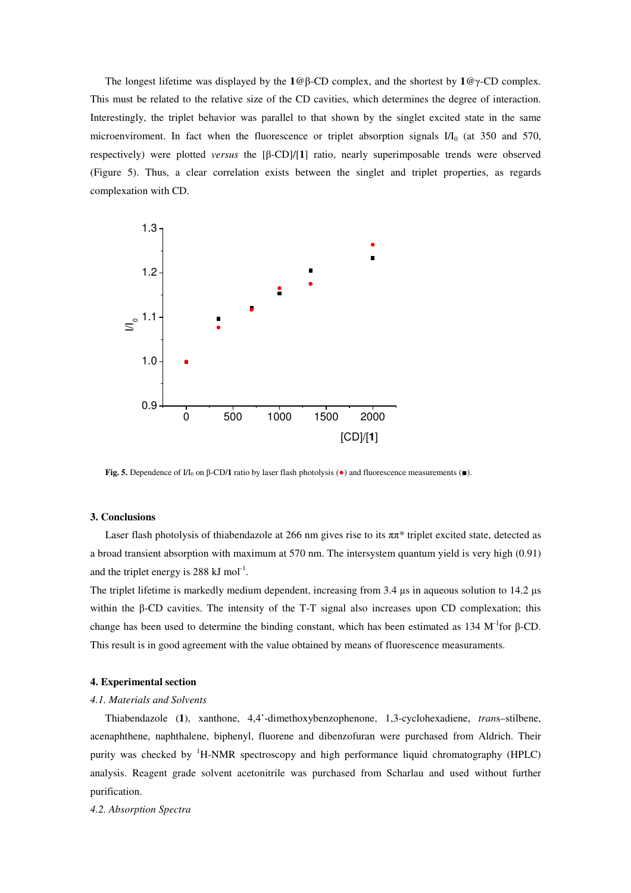The longest lifetime was displayed by the **1**@β-CD complex, and the shortest by **1**@γ-CD complex. This must be related to the relative size of the CD cavities, which determines the degree of interaction. Interestingly, the triplet behavior was parallel to that shown by the singlet excited state in the same microenviroment. In fact when the fluorescence or triplet absorption signals  $I/I_0$  (at 350 and 570, respectively) were plotted *versus* the [β-CD]/[**1**] ratio, nearly superimposable trends were observed (Figure 5). Thus, a clear correlation exists between the singlet and triplet properties, as regards complexation with CD.



**Fig. 5.** Dependence of  $I/I_0$  on β-CD/**1** ratio by laser flash photolysis ( $\bullet$ ) and fluorescence measurements (■).

#### **3. Conclusions**

Laser flash photolysis of thiabendazole at 266 nm gives rise to its  $\pi \pi^*$  triplet excited state, detected as a broad transient absorption with maximum at 570 nm. The intersystem quantum yield is very high (0.91) and the triplet energy is 288  $kJ \text{ mol}^{-1}$ .

The triplet lifetime is markedly medium dependent, increasing from 3.4  $\mu$ s in aqueous solution to 14.2  $\mu$ s within the β-CD cavities. The intensity of the T-T signal also increases upon CD complexation; this change has been used to determine the binding constant, which has been estimated as 134 M<sup>-1</sup>for β-CD. This result is in good agreement with the value obtained by means of fluorescence measuraments.

#### **4. Experimental section**

#### *4.1. Materials and Solvents*

Thiabendazole (**1**), xanthone, 4,4'-dimethoxybenzophenone, 1,3-cyclohexadiene, *tran*s–stilbene, acenaphthene, naphthalene, biphenyl, fluorene and dibenzofuran were purchased from Aldrich. Their purity was checked by <sup>1</sup>H-NMR spectroscopy and high performance liquid chromatography (HPLC) analysis. Reagent grade solvent acetonitrile was purchased from Scharlau and used without further purification.

*4.2. Absorption Spectra*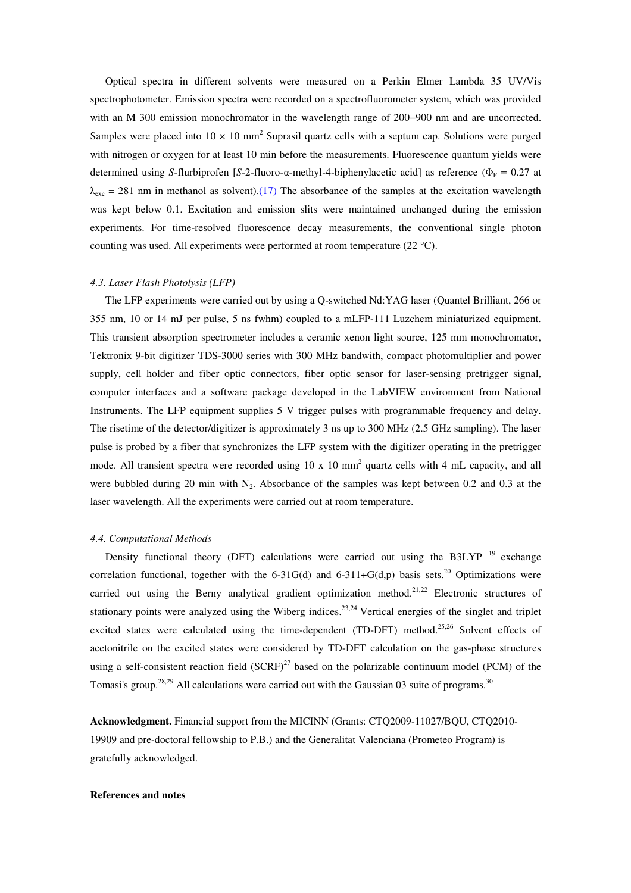Optical spectra in different solvents were measured on a Perkin Elmer Lambda 35 UV/Vis spectrophotometer. Emission spectra were recorded on a spectrofluorometer system, which was provided with an M 300 emission monochromator in the wavelength range of 200−900 nm and are uncorrected. Samples were placed into  $10 \times 10$  mm<sup>2</sup> Suprasil quartz cells with a septum cap. Solutions were purged with nitrogen or oxygen for at least 10 min before the measurements. Fluorescence quantum yields were determined using *S*-flurbiprofen [*S*-2-fluoro-α-methyl-4-biphenylacetic acid] as reference ( $\Phi_F = 0.27$  at  $\lambda_{\rm exc}$  = 281 nm in methanol as solvent).(17) The absorbance of the samples at the excitation wavelength was kept below 0.1. Excitation and emission slits were maintained unchanged during the emission experiments. For time-resolved fluorescence decay measurements, the conventional single photon counting was used. All experiments were performed at room temperature (22 °C).

#### *4.3. Laser Flash Photolysis (LFP)*

The LFP experiments were carried out by using a Q-switched Nd:YAG laser (Quantel Brilliant, 266 or 355 nm, 10 or 14 mJ per pulse, 5 ns fwhm) coupled to a mLFP-111 Luzchem miniaturized equipment. This transient absorption spectrometer includes a ceramic xenon light source, 125 mm monochromator, Tektronix 9-bit digitizer TDS-3000 series with 300 MHz bandwith, compact photomultiplier and power supply, cell holder and fiber optic connectors, fiber optic sensor for laser-sensing pretrigger signal, computer interfaces and a software package developed in the LabVIEW environment from National Instruments. The LFP equipment supplies 5 V trigger pulses with programmable frequency and delay. The risetime of the detector/digitizer is approximately 3 ns up to 300 MHz (2.5 GHz sampling). The laser pulse is probed by a fiber that synchronizes the LFP system with the digitizer operating in the pretrigger mode. All transient spectra were recorded using  $10 \times 10 \text{ mm}^2$  quartz cells with 4 mL capacity, and all were bubbled during 20 min with  $N_2$ . Absorbance of the samples was kept between 0.2 and 0.3 at the laser wavelength. All the experiments were carried out at room temperature.

### *4.4. Computational Methods*

Density functional theory (DFT) calculations were carried out using the B3LYP<sup>19</sup> exchange correlation functional, together with the 6-31G(d) and 6-311+G(d,p) basis sets.<sup>20</sup> Optimizations were carried out using the Berny analytical gradient optimization method.<sup>21,22</sup> Electronic structures of stationary points were analyzed using the Wiberg indices.<sup>23,24</sup> Vertical energies of the singlet and triplet excited states were calculated using the time-dependent (TD-DFT) method.<sup>25,26</sup> Solvent effects of acetonitrile on the excited states were considered by TD-DFT calculation on the gas-phase structures using a self-consistent reaction field  $(SCRF)^{27}$  based on the polarizable continuum model (PCM) of the Tomasi's group.<sup>28,29</sup> All calculations were carried out with the Gaussian 03 suite of programs.<sup>30</sup>

**Acknowledgment.** Financial support from the MICINN (Grants: CTQ2009-11027/BQU, CTQ2010- 19909 and pre-doctoral fellowship to P.B.) and the Generalitat Valenciana (Prometeo Program) is gratefully acknowledged.

#### **References and notes**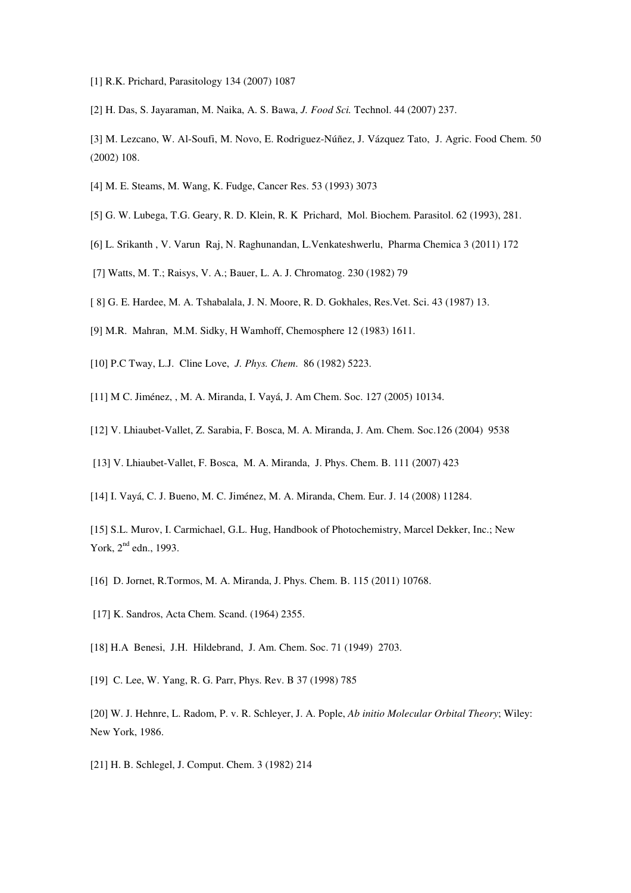- [1] R.K. Prichard, Parasitology 134 (2007) 1087
- [2] H. Das, S. Jayaraman, M. Naika, A. S. Bawa, *J. Food Sci.* Technol. 44 (2007) 237.
- [3] M. Lezcano, W. Al-Soufi, M. Novo, E. Rodriguez-Núñez, J. Vázquez Tato, J. Agric. Food Chem. 50 (2002) 108.
- [4] M. E. Steams, M. Wang, K. Fudge, Cancer Res. 53 (1993) 3073
- [5] G. W. Lubega, T.G. Geary, R. D. Klein, R. K Prichard, Mol. Biochem. Parasitol. 62 (1993), 281.
- [6] L. Srikanth , V. Varun Raj, N. Raghunandan, L.Venkateshwerlu, Pharma Chemica 3 (2011) 172
- [7] Watts, M. T.; Raisys, V. A.; Bauer, L. A. J. Chromatog. 230 (1982) 79
- [ 8] G. E. Hardee, M. A. Tshabalala, J. N. Moore, R. D. Gokhales, Res.Vet. Sci. 43 (1987) 13.
- [9] M.R. Mahran, M.M. Sidky, H Wamhoff, Chemosphere 12 (1983) 1611.
- [10] P.C Tway, L.J. Cline Love, *J. Phys. Chem*. 86 (1982) 5223.
- [11] M C. Jiménez, , M. A. Miranda, I. Vayá, J. Am Chem. Soc. 127 (2005) 10134.
- [12] V. Lhiaubet-Vallet, Z. Sarabia, F. Bosca, M. A. Miranda, J. Am. Chem. Soc.126 (2004) 9538
- [13] V. Lhiaubet-Vallet, F. Bosca, M. A. Miranda, J. Phys. Chem. B. 111 (2007) 423
- [14] I. Vayá, C. J. Bueno, M. C. Jiménez, M. A. Miranda, Chem. Eur. J. 14 (2008) 11284.
- [15] S.L. Murov, I. Carmichael, G.L. Hug, Handbook of Photochemistry, Marcel Dekker, Inc.; New York, 2<sup>nd</sup> edn., 1993.
- [16] D. Jornet, R.Tormos, M. A. Miranda, J. Phys. Chem. B. 115 (2011) 10768.
- [17] K. Sandros, Acta Chem. Scand. (1964) 2355.
- [18] H.A Benesi, J.H. Hildebrand, J. Am. Chem. Soc. 71 (1949) 2703.
- [19] C. Lee, W. Yang, R. G. Parr, Phys. Rev. B 37 (1998) 785
- [20] W. J. Hehnre, L. Radom, P. v. R. Schleyer, J. A. Pople, *Ab initio Molecular Orbital Theory*; Wiley: New York, 1986.
- [21] H. B. Schlegel, J. Comput. Chem. 3 (1982) 214